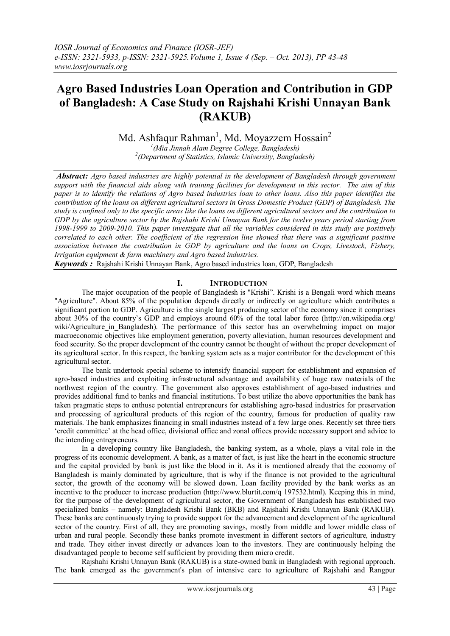# **Agro Based Industries Loan Operation and Contribution in GDP of Bangladesh: A Case Study on Rajshahi Krishi Unnayan Bank (RAKUB)**

Md. Ashfaqur Rahman<sup>1</sup>, Md. Moyazzem Hossain<sup>2</sup>

*1 (Mia Jinnah Alam Degree College, Bangladesh) 2 (Department of Statistics, Islamic University, Bangladesh)*

*Abstract: Agro based industries are highly potential in the development of Bangladesh through government support with the financial aids along with training facilities for development in this sector. The aim of this paper is to identify the relations of Agro based industries loan to other loans. Also this paper identifies the contribution of the loans on different agricultural sectors in Gross Domestic Product (GDP) of Bangladesh. The study is confined only to the specific areas like the loans on different agricultural sectors and the contribution to GDP by the agriculture sector by the Rajshahi Krishi Unnayan Bank for the twelve years period starting from 1998-1999 to 2009-2010. This paper investigate that all the variables considered in this study are positively correlated to each other. The coefficient of the regression line showed that there was a significant positive association between the contribution in GDP by agriculture and the loans on Crops, Livestock, Fishery, Irrigation equipment & farm machinery and Agro based industries.*

*Keywords :* Rajshahi Krishi Unnayan Bank, Agro based industries loan, GDP, Bangladesh

# **I. INTRODUCTION**

The major occupation of the people of Bangladesh is "Krishi". Krishi is a Bengali word which means "Agriculture". About 85% of the population depends directly or indirectly on agriculture which contributes a significant portion to GDP. Agriculture is the single largest producing sector of the economy since it comprises about 30% of the country's GDP and employs around 60% of the total labor force (http://en.wikipedia.org/ wiki/Agriculture in Bangladesh). The performance of this sector has an overwhelming impact on major macroeconomic objectives like employment generation, poverty alleviation, human resources development and food security. So the proper development of the country cannot be thought of without the proper development of its agricultural sector. In this respect, the banking system acts as a major contributor for the development of this agricultural sector.

The bank undertook special scheme to intensify financial support for establishment and expansion of agro-based industries and exploiting infrastructural advantage and availability of huge raw materials of the northwest region of the country. The government also approves establishment of ago-based industries and provides additional fund to banks and financial institutions. To best utilize the above opportunities the bank has taken pragmatic steps to enthuse potential entrepreneurs for establishing agro-based industries for preservation and processing of agricultural products of this region of the country, famous for production of quality raw materials. The bank emphasizes financing in small industries instead of a few large ones. Recently set three tiers 'credit committee' at the head office, divisional office and zonal offices provide necessary support and advice to the intending entrepreneurs.

In a developing country like Bangladesh, the banking system, as a whole, plays a vital role in the progress of its economic development. A bank, as a matter of fact, is just like the heart in the economic structure and the capital provided by bank is just like the blood in it. As it is mentioned already that the economy of Bangladesh is mainly dominated by agriculture, that is why if the finance is not provided to the agricultural sector, the growth of the economy will be slowed down. Loan facility provided by the bank works as an incentive to the producer to increase production (http://www.blurtit.com/q 197532.html). Keeping this in mind, for the purpose of the development of agricultural sector, the Government of Bangladesh has established two specialized banks – namely: Bangladesh Krishi Bank (BKB) and Rajshahi Krishi Unnayan Bank (RAKUB). These banks are continuously trying to provide support for the advancement and development of the agricultural sector of the country. First of all, they are promoting savings, mostly from middle and lower middle class of urban and rural people. Secondly these banks promote investment in different sectors of agriculture, industry and trade. They either invest directly or advances loan to the investors. They are continuously helping the disadvantaged people to become self sufficient by providing them micro credit.

Rajshahi Krishi Unnayan Bank (RAKUB) is a state-owned bank in Bangladesh with regional approach. The bank emerged as the government's plan of intensive care to agriculture of Rajshahi and Rangpur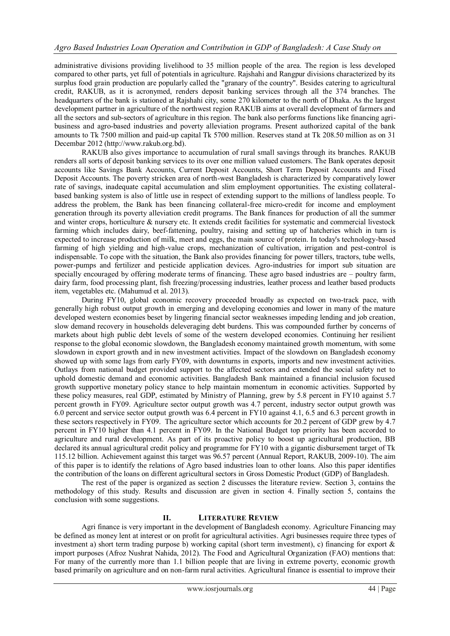administrative divisions providing livelihood to 35 million people of the area. The region is less developed compared to other parts, yet full of potentials in agriculture. Rajshahi and Rangpur divisions characterized by its surplus food grain production are popularly called the "granary of the country". Besides catering to agricultural credit, RAKUB, as it is acronymed, renders deposit banking services through all the 374 branches. The headquarters of the bank is stationed at Rajshahi city, some 270 kilometer to the north of Dhaka. As the largest development partner in agriculture of the northwest region RAKUB aims at overall development of farmers and all the sectors and sub-sectors of agriculture in this region. The bank also performs functions like financing agribusiness and agro-based industries and poverty alleviation programs. Present authorized capital of the bank amounts to Tk 7500 million and paid-up capital Tk 5700 million. Reserves stand at Tk 208.50 million as on 31 Decembar 2012 (http://www.rakub.org.bd).

RAKUB also gives importance to accumulation of rural small savings through its branches. RAKUB renders all sorts of deposit banking services to its over one million valued customers. The Bank operates deposit accounts like Savings Bank Accounts, Current Deposit Accounts, Short Term Deposit Accounts and Fixed Deposit Accounts. The poverty stricken area of north-west Bangladesh is characterized by comparatively lower rate of savings, inadequate capital accumulation and slim employment opportunities. The existing collateralbased banking system is also of little use in respect of extending support to the millions of landless people. To address the problem, the Bank has been financing collateral-free micro-credit for income and employment generation through its poverty alleviation credit programs. The Bank finances for production of all the summer and winter crops, horticulture & nursery etc. It extends credit facilities for systematic and commercial livestock farming which includes dairy, beef-fattening, poultry, raising and setting up of hatcheries which in turn is expected to increase production of milk, meet and eggs, the main source of protein. In today's technology-based farming of high yielding and high-value crops, mechanization of cultivation, irrigation and pest-control is indispensable. To cope with the situation, the Bank also provides financing for power tillers, tractors, tube wells, power-pumps and fertilizer and pesticide application devices. Agro-industries for import sub situation are specially encouraged by offering moderate terms of financing. These agro based industries are – poultry farm, dairy farm, food processing plant, fish freezing/processing industries, leather process and leather based products item, vegetables etc. (Mahumud et al. 2013).

During FY10, global economic recovery proceeded broadly as expected on two-track pace, with generally high robust output growth in emerging and developing economies and lower in many of the mature developed western economies beset by lingering financial sector weaknesses impeding lending and job creation, slow demand recovery in households deleveraging debt burdens. This was compounded further by concerns of markets about high public debt levels of some of the western developed economies. Continuing her resilient response to the global economic slowdown, the Bangladesh economy maintained growth momentum, with some slowdown in export growth and in new investment activities. Impact of the slowdown on Bangladesh economy showed up with some lags from early FY09, with downturns in exports, imports and new investment activities. Outlays from national budget provided support to the affected sectors and extended the social safety net to uphold domestic demand and economic activities. Bangladesh Bank maintained a financial inclusion focused growth supportive monetary policy stance to help maintain momentum in economic activities. Supported by these policy measures, real GDP, estimated by Ministry of Planning, grew by 5.8 percent in FY10 against 5.7 percent growth in FY09. Agriculture sector output growth was 4.7 percent, industry sector output growth was 6.0 percent and service sector output growth was 6.4 percent in FY10 against 4.1, 6.5 and 6.3 percent growth in these sectors respectively in FY09. The agriculture sector which accounts for 20.2 percent of GDP grew by 4.7 percent in FY10 higher than 4.1 percent in FY09. In the National Budget top priority has been accorded to agriculture and rural development. As part of its proactive policy to boost up agricultural production, BB declared its annual agricultural credit policy and programme for FY10 with a gigantic disbursement target of Tk 115.12 billion. Achievement against this target was 96.57 percent (Annual Report, RAKUB, 2009-10). The aim of this paper is to identify the relations of Agro based industries loan to other loans. Also this paper identifies the contribution of the loans on different agricultural sectors in Gross Domestic Product (GDP) of Bangladesh.

The rest of the paper is organized as section 2 discusses the literature review. Section 3, contains the methodology of this study. Results and discussion are given in section 4. Finally section 5, contains the conclusion with some suggestions.

# **II. LITERATURE REVIEW**

Agri finance is very important in the development of Bangladesh economy. Agriculture Financing may be defined as money lent at interest or on profit for agricultural activities. Agri businesses require three types of investment a) short term trading purpose b) working capital (short term investment), c) financing for export & import purposes (Afroz Nushrat Nahida, 2012). The Food and Agricultural Organization (FAO) mentions that: For many of the currently more than 1.1 billion people that are living in extreme poverty, economic growth based primarily on agriculture and on non-farm rural activities. Agricultural finance is essential to improve their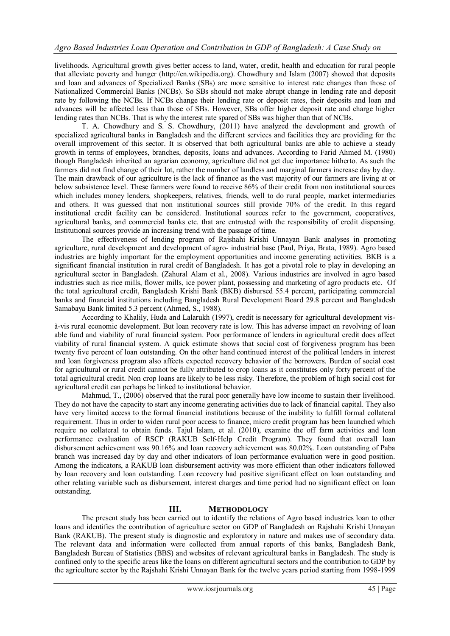livelihoods. Agricultural growth gives better access to land, water, credit, health and education for rural people that alleviate poverty and hunger [\(http://en.wikipedia.org\)](http://en.wikipedia.org/). Chowdhury and Islam (2007) showed that deposits and loan and advances of Specialized Banks (SBs) are more sensitive to interest rate changes than those of Nationalized Commercial Banks (NCBs). So SBs should not make abrupt change in lending rate and deposit rate by following the NCBs. If NCBs change their lending rate or deposit rates, their deposits and loan and advances will be affected less than those of SBs. However, SBs offer higher deposit rate and charge higher lending rates than NCBs. That is why the interest rate spared of SBs was higher than that of NCBs.

T. A. Chowdhury and S. S. Chowdhury, (2011) have analyzed the development and growth of specialized agricultural banks in Bangladesh and the different services and facilities they are providing for the overall improvement of this sector. It is observed that both agricultural banks are able to achieve a steady growth in terms of employees, branches, deposits, loans and advances. According to Farid Ahmed M. (1980) though Bangladesh inherited an agrarian economy, agriculture did not get due importance hitherto. As such the farmers did not find change of their lot, rather the number of landless and marginal farmers increase day by day. The main drawback of our agriculture is the lack of finance as the vast majority of our farmers are living at or below subsistence level. These farmers were found to receive 86% of their credit from non institutional sources which includes money lenders, shopkeepers, relatives, friends, well to do rural people, market intermediaries and others. It was guessed that non institutional sources still provide 70% of the credit. In this regard institutional credit facility can be considered. Institutional sources refer to the government, cooperatives, agricultural banks, and commercial banks etc. that are entrusted with the responsibility of credit dispensing. Institutional sources provide an increasing trend with the passage of time.

The effectiveness of lending program of Rajshahi Krishi Unnayan Bank analyses in promoting agriculture, rural development and development of agro- industrial base (Paul, Priya, Brata, 1989). Agro based industries are highly important for the employment opportunities and income generating activities. BKB is a significant financial institution in rural credit of Bangladesh. It has got a pivotal role to play in developing an agricultural sector in Bangladesh. (Zahural Alam et al., 2008). Various industries are involved in agro based industries such as rice mills, flower mills, ice power plant, possessing and marketing of agro products etc. Of the total agricultural credit, Bangladesh Krishi Bank (BKB) disbursed 55.4 percent, participating commercial banks and financial institutions including Bangladesh Rural Development Board 29.8 percent and Bangladesh Samabaya Bank limited 5.3 percent (Ahmed, S., 1988).

According to Khalily, Huda and Lalarukh (1997), credit is necessary for agricultural development visà-vis rural economic development. But loan recovery rate is low. This has adverse impact on revolving of loan able fund and viability of rural financial system. Poor performance of lenders in agricultural credit does affect viability of rural financial system. A quick estimate shows that social cost of forgiveness program has been twenty five percent of loan outstanding. On the other hand continued interest of the political lenders in interest and loan forgiveness program also affects expected recovery behavior of the borrowers. Burden of social cost for agricultural or rural credit cannot be fully attributed to crop loans as it constitutes only forty percent of the total agricultural credit. Non crop loans are likely to be less risky. Therefore, the problem of high social cost for agricultural credit can perhaps be linked to institutional behavior.

Mahmud, T., (2006) observed that the rural poor generally have low income to sustain their livelihood. They do not have the capacity to start any income generating activities due to lack of financial capital. They also have very limited access to the formal financial institutions because of the inability to fulfill formal collateral requirement. Thus in order to widen rural poor access to finance, micro credit program has been launched which require no collateral to obtain funds. Tajul Islam, et al. (2010), examine the off farm activities and loan performance evaluation of RSCP (RAKUB Self-Help Credit Program). They found that overall loan disbursement achievement was 90.16% and loan recovery achievement was 80.02%. Loan outstanding of Paba branch was increased day by day and other indicators of loan performance evaluation were in good position. Among the indicators, a RAKUB loan disbursement activity was more efficient than other indicators followed by loan recovery and loan outstanding. Loan recovery had positive significant effect on loan outstanding and other relating variable such as disbursement, interest charges and time period had no significant effect on loan outstanding.

## **III. METHODOLOGY**

The present study has been carried out to identify the relations of Agro based industries loan to other loans and identifies the contribution of agriculture sector on GDP of Bangladesh on Rajshahi Krishi Unnayan Bank (RAKUB). The present study is diagnostic and exploratory in nature and makes use of secondary data. The relevant data and information were collected from annual reports of this banks, Bangladesh Bank, Bangladesh Bureau of Statistics (BBS) and websites of relevant agricultural banks in Bangladesh. The study is confined only to the specific areas like the loans on different agricultural sectors and the contribution to GDP by the agriculture sector by the Rajshahi Krishi Unnayan Bank for the twelve years period starting from 1998-1999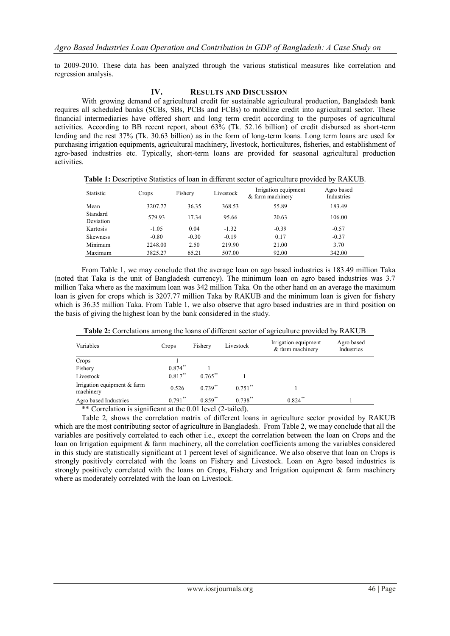to 2009-2010. These data has been analyzed through the various statistical measures like correlation and regression analysis.

### **IV. RESULTS AND DISCUSSION**

With growing demand of agricultural credit for sustainable agricultural production, Bangladesh bank requires all scheduled banks (SCBs, SBs, PCBs and FCBs) to mobilize credit into agricultural sector. These financial intermediaries have offered short and long term credit according to the purposes of agricultural activities. According to BB recent report, about 63% (Tk. 52.16 billion) of credit disbursed as short-term lending and the rest 37% (Tk. 30.63 billion) as in the form of long-term loans. Long term loans are used for purchasing irrigation equipments, agricultural machinery, livestock, horticultures, fisheries, and establishment of agro-based industries etc. Typically, short-term loans are provided for seasonal agricultural production activities.

**Table 1:** Descriptive Statistics of loan in different sector of agriculture provided by RAKUB.

| Statistic             | Crops   | Fishery | Livestock | Irrigation equipment<br>& farm machinery | Agro based<br>Industries |
|-----------------------|---------|---------|-----------|------------------------------------------|--------------------------|
| Mean                  | 3207.77 | 36.35   | 368.53    | 55.89                                    | 183.49                   |
| Standard<br>Deviation | 579.93  | 17.34   | 95.66     | 20.63                                    | 106.00                   |
| Kurtosis              | $-1.05$ | 0.04    | $-1.32$   | $-0.39$                                  | $-0.57$                  |
| Skewness              | $-0.80$ | $-0.30$ | $-0.19$   | 0.17                                     | $-0.37$                  |
| Minimum               | 2248.00 | 2.50    | 219.90    | 21.00                                    | 3.70                     |
| Maximum               | 3825.27 | 65.21   | 507.00    | 92.00                                    | 342.00                   |

From Table 1, we may conclude that the average loan on ago based industries is 183.49 million Taka (noted that Taka is the unit of Bangladesh currency). The minimum loan on agro based industries was 3.7 million Taka where as the maximum loan was 342 million Taka. On the other hand on an average the maximum loan is given for crops which is 3207.77 million Taka by RAKUB and the minimum loan is given for fishery which is 36.35 million Taka. From Table 1, we also observe that agro based industries are in third position on the basis of giving the highest loan by the bank considered in the study.

**Table 2:** Correlations among the loans of different sector of agriculture provided by RAKUB

| Variables                                | Crops      | Fishery    | Livestock             | Irrigation equipment<br>& farm machinery | Agro based<br>Industries |
|------------------------------------------|------------|------------|-----------------------|------------------------------------------|--------------------------|
| Crops                                    |            |            |                       |                                          |                          |
| Fishery                                  | $0.874***$ |            |                       |                                          |                          |
| Livestock                                | $0.817***$ | $0.765***$ |                       |                                          |                          |
| Irrigation equipment & farm<br>machinery | 0.526      | $0.739***$ | $0.751$ <sup>**</sup> |                                          |                          |
| Agro based Industries                    | $0.791$ ** | $0.859$ ** | $0.738***$            | $0.824$ **                               |                          |

\*\* Correlation is significant at the 0.01 level (2-tailed).

Table 2, shows the correlation matrix of different loans in agriculture sector provided by RAKUB which are the most contributing sector of agriculture in Bangladesh. From Table 2, we may conclude that all the variables are positively correlated to each other i.e., except the correlation between the loan on Crops and the loan on Irrigation equipment & farm machinery, all the correlation coefficients among the variables considered in this study are statistically significant at 1 percent level of significance. We also observe that loan on Crops is strongly positively correlated with the loans on Fishery and Livestock. Loan on Agro based industries is strongly positively correlated with the loans on Crops, Fishery and Irrigation equipment & farm machinery where as moderately correlated with the loan on Livestock.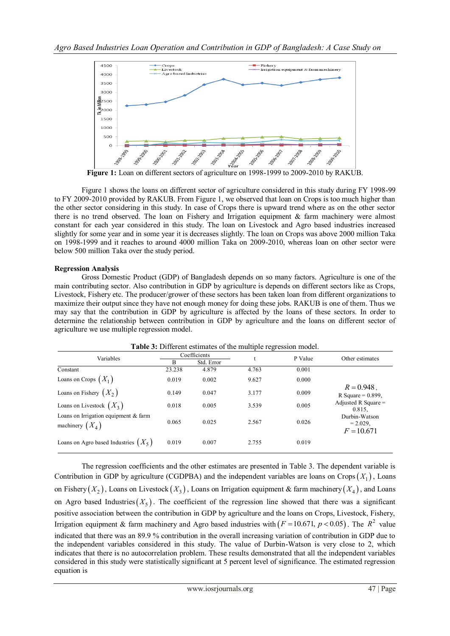

Figure 1 shows the loans on different sector of agriculture considered in this study during FY 1998-99 to FY 2009-2010 provided by RAKUB. From Figure 1, we observed that loan on Crops is too much higher than the other sector considering in this study. In case of Crops there is upward trend where as on the other sector there is no trend observed. The loan on Fishery and Irrigation equipment & farm machinery were almost constant for each year considered in this study. The loan on Livestock and Agro based industries increased slightly for some year and in some year it is decreases slightly. The loan on Crops was above 2000 million Taka on 1998-1999 and it reaches to around 4000 million Taka on 2009-2010, whereas loan on other sector were below 500 million Taka over the study period.

## **Regression Analysis**

Gross Domestic Product (GDP) of Bangladesh depends on so many factors. Agriculture is one of the main contributing sector. Also contribution in GDP by agriculture is depends on different sectors like as Crops, Livestock, Fishery etc. The producer/grower of these sectors has been taken loan from different organizations to maximize their output since they have not enough money for doing these jobs. RAKUB is one of them. Thus we may say that the contribution in GDP by agriculture is affected by the loans of these sectors. In order to determine the relationship between contribution in GDP by agriculture and the loans on different sector of agriculture we use multiple regression model.

| Variables                                                   | Coefficients |            | t     | P Value |                                              |
|-------------------------------------------------------------|--------------|------------|-------|---------|----------------------------------------------|
|                                                             | B            | Std. Error |       |         | Other estimates                              |
| Constant                                                    | 23.238       | 4.879      | 4.763 | 0.001   |                                              |
| Loans on Crops $(X_1)$                                      | 0.019        | 0.002      | 9.627 | 0.000   |                                              |
| Loans on Fishery $(X_2)$                                    | 0.149        | 0.047      | 3.177 | 0.009   | $R = 0.948$ .<br>R Square = $0.899$ ,        |
| Loans on Livestock $(X_3)$                                  | 0.018        | 0.005      | 3.539 | 0.005   | Adjusted R Square $=$<br>0.815.              |
| Loans on Irrigation equipment $&$ farm<br>machinery $(X_4)$ | 0.065        | 0.025      | 2.567 | 0.026   | Durbin-Watson<br>$= 2.029$ ,<br>$F = 10.671$ |
| Loans on Agro based Industries $(X_5)$                      | 0.019        | 0.007      | 2.755 | 0.019   |                                              |

**Table 3:** Different estimates of the multiple regression model.

The regression coefficients and the other estimates are presented in Table 3. The dependent variable is Contribution in GDP by agriculture (CGDPBA) and the independent variables are loans on Crops  $(X_1)$ , Loans on Fishery  $(X_2)$ , Loans on Livestock  $(X_3)$ , Loans on Irrigation equipment & farm machinery  $(X_4)$ , and Loans on Agro based Industries  $(X_5)$ . The coefficient of the regression line showed that there was a significant positive association between the contribution in GDP by agriculture and the loans on Crops, Livestock, Fishery, Irrigation equipment & farm machinery and Agro based industries with  $(F = 10.671, p < 0.05)$ . The  $R^2$  value indicated that there was an 89.9 % contribution in the overall increasing variation of contribution in GDP due to the independent variables considered in this study. The value of Durbin-Watson is very close to 2, which indicates that there is no autocorrelation problem. These results demonstrated that all the independent variables considered in this study were statistically significant at 5 percent level of significance. The estimated regression equation is